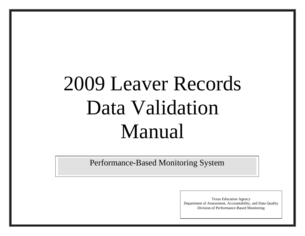# 2009 Leaver Records Data Validation Manual

Performance-Based Monitoring System

Texas Education Agency Department of Assessment, Accountability, and Data Quality Division of Performance-Based Monitoring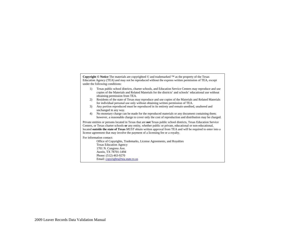**Copyright © Notice** The materials are copyrighted © and trademarked ™ as the property of the Texas Education Agency (TEA) and may not be reproduced without the express written permission of TEA, except under the following conditions:

- 1) Texas public school districts, charter schools, and Education Service Centers may reproduce and use copies of the Materials and Related Materials for the districts' and schools' educational use without obtaining permission from TEA.
- 2) Residents of the state of Texas may reproduce and use copies of the Materials and Related Materials for individual personal use only without obtaining written permission of TEA.
- 3) Any portion reproduced must be reproduced in its entirety and remain unedited, unaltered and unchanged in any way.
- 4) No monetary charge can be made for the reproduced materials or any document containing them; however, a reasonable charge to cover only the cost of reproduction and distribution may be charged.

Private entities or persons located in Texas that are **not** Texas public school districts, Texas Education Service Centers, or Texas charter schools **or** any entity, whether public or private, educational or non-educational, located **outside the state of Texas** *MUST* obtain written approval from TEA and will be required to enter into a license agreement that may involve the payment of a licensing fee or a royalty.

For information contact:

Office of Copyrights, Trademarks, License Agreements, and Royalties Texas Education Agency 1701 N. Congress Ave. Austin, TX 78701-1494 Phone: (512) 463-9270 Email[: copyrights@tea.state.tx.us](mailto:copyrights@tea.state.tx.us)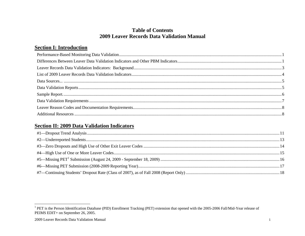## <span id="page-2-0"></span>**Table of Contents** 2009 Leaver Records Data Validation Manual

## **Section I: Introduction**

## **Section II: 2009 Data Validation Indicators**

<sup>&</sup>lt;sup>1</sup> PET is the Person Identification Database (PID) Enrollment Tracking (PET) extension that opened with the 2005-2006 Fall/Mid-Year release of PEIMS EDIT+ on September 26, 2005.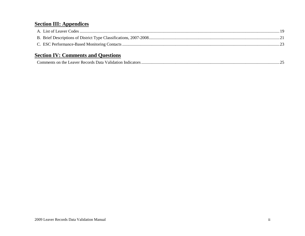# **Section III: Appendices**

# **Section IV: Comments and Questions**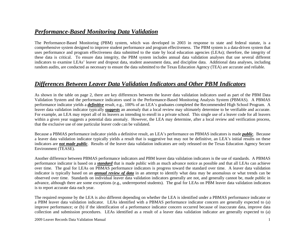## *Performance-Based Monitoring Data Validation*

The Performance-Based Monitoring (PBM) system, which was developed in 2003 in response to state and federal statute, is a comprehensive system designed to improve student performance and program effectiveness. The PBM system is a data-driven system that uses performance and program effectiveness data submitted to the state by local education agencies (LEAs); therefore, the integrity of these data is critical. To ensure data integrity, the PBM system includes annual data validation analyses that use several different indicators to examine LEAs' leaver and dropout data, student assessment data, and discipline data. Additional data analyses, including random audits, are conducted as necessary to ensure the data submitted to the Texas Education Agency (TEA) are accurate and reliable.

## *Differences Between Leaver Data Validation Indicators and Other PBM Indicators*

As shown in the table on page 2, there are key differences between the leaver data validation indicators used as part of the PBM Data Validation System and the performance indicators used in the Performance-Based Monitoring Analysis System (PBMAS). A PBMAS performance indicator yields a *definitive* result, e.g., 100% of an LEA's graduates completed the Recommended High School Program. A leaver data validation indicator typically *suggests* an anomaly that a local review may ultimately determine to be verifiable and accurate. For example, an LEA may report all of its leavers as intending to enroll in a private school. This single use of a leaver code for all leavers within a given year suggests a potential data anomaly. However, the LEA may determine, after a local review and verification process, that the exclusive use of one particular leaver code can be validated.

Because a PBMAS performance indicator yields a definitive result, an LEA's performance on PBMAS indicators is made *public*. Because a leaver data validation indicator typically yields a result that is suggestive but may not be definitive, an LEA's initial results on these indicators are *not made public*. Results of the leaver data validation indicators are only released on the Texas Education Agency Secure Environment (TEASE).

Another difference between PBMAS performance indicators and PBM leaver data validation indicators is the use of standards. A PBMAS performance indicator is based on a *standard* that is made public with as much advance notice as possible and that all LEAs can achieve over time. The goal for LEAs on PBMAS performance indicators is progress toward the standard over time. A leaver data validation indicator is typically based on an *annual review of data* in an attempt to identify what data may be anomalous or what trends can be observed over time. Standards on individual leaver data validation indicators generally are not, and generally cannot be, made public in advance, although there are some exceptions (e.g., underreported students). The goal for LEAs on PBM leaver data validation indicators is to report accurate data each year.

The required response by the LEA is also different depending on whether the LEA is identified under a PBMAS performance indicator or a PBM leaver data validation indicator. LEAs identified with a PBMAS performance indicator concern are generally expected to (a) improve performance; or (b) if the identification of a performance indicator concern occurred because of inaccurate data, improve data collection and submission procedures. LEAs identified as a result of a leaver data validation indicator are generally expected to (a)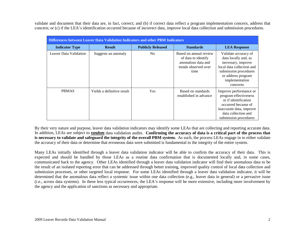validate and document that their data are, in fact, correct; and (b) if correct data reflect a program implementation concern, address that concern; or (c) if the LEA's identification occurred because of incorrect data, improve local data collection and submission procedures.

| Differences between Leaver Data Validation Indicators and other PBM Indicators |                            |                          |                                                                                                     |                                                                                                                                                                              |
|--------------------------------------------------------------------------------|----------------------------|--------------------------|-----------------------------------------------------------------------------------------------------|------------------------------------------------------------------------------------------------------------------------------------------------------------------------------|
| <b>Indicator Type</b>                                                          | <b>Result</b>              | <b>Publicly Released</b> | <b>Standards</b>                                                                                    | <b>LEA Response</b>                                                                                                                                                          |
| Leaver Data Validation                                                         | Suggests an anomaly        | No                       | Based on annual review<br>of data to identify<br>anomalous data and<br>trends observed over<br>time | Validate accuracy of<br>data locally and, as<br>necessary, improve<br>local data collection and<br>submission procedures<br>or address program<br>implementation<br>concerns |
| <b>PBMAS</b>                                                                   | Yields a definitive result | Yes                      | Based on standards<br>established in advance                                                        | Improve performance or<br>program effectiveness<br>or if identification<br>occurred because of<br>inaccurate data, improve<br>data collection and<br>submission procedures   |

By their very nature and purpose, leaver data validation indicators may identify some LEAs that are collecting and reporting accurate data. In addition, LEAs are subject to *random* data validation audits. **Confirming the accuracy of data is a critical part of the process that is necessary to validate and safeguard the integrity of the overall PBM system.** As such, the process LEAs engage in to either validate the accuracy of their data or determine that erroneous data were submitted is fundamental to the integrity of the entire system.

Many LEAs initially identified through a leaver data validation indicator will be able to confirm the accuracy of their data. This is expected and should be handled by those LEAs as a routine data confirmation that is documented locally and, in some cases, communicated back to the agency. Other LEAs identified through a leaver data validation indicator will find their anomalous data to be the result of an isolated reporting error that can be addressed through better training, improved quality control of local data collection and submission processes, or other targeted local response. For some LEAs identified through a leaver data validation indicator, it will be determined that the anomalous data reflect a systemic issue within one data collection (e.g., leaver data in general) or a pervasive issue (i.e., across data systems). In these less typical occurrences, the LEA's response will be more extensive, including more involvement by the agency and the application of sanctions as necessary and appropriate.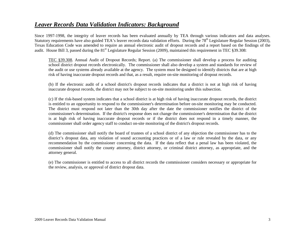# *Leaver Records Data Validation Indicators: Background*

Since 1997-1998, the integrity of leaver records has been evaluated annually by TEA through various indicators and data analyses. Statutory requirements have also guided TEA's leaver records data validation efforts. During the 78<sup>th</sup> Legislature Regular Session (2003), Texas Education Code was amended to require an annual electronic audit of dropout records and a report based on the findings of the audit. House Bill 3, passed during the  $81<sup>st</sup>$  Legislature Regular Session (2009), maintained this requirement in TEC §39.308:

TEC §39.308. Annual Audit of Dropout Records; Report. (a) The commissioner shall develop a process for auditing school district dropout records electronically. The commissioner shall also develop a system and standards for review of the audit or use systems already available at the agency. The system must be designed to identify districts that are at high risk of having inaccurate dropout records and that, as a result, require on-site monitoring of dropout records.

(b) If the electronic audit of a school district's dropout records indicates that a district is not at high risk of having inaccurate dropout records, the district may not be subject to on-site monitoring under this subsection.

(c) If the risk-based system indicates that a school district is at high risk of having inaccurate dropout records, the district is entitled to an opportunity to respond to the commissioner's determination before on-site monitoring may be conducted. The district must respond not later than the 30th day after the date the commissioner notifies the district of the commissioner's determination. If the district's response does not change the commissioner's determination that the district is at high risk of having inaccurate dropout records or if the district does not respond in a timely manner, the commissioner shall order agency staff to conduct on-site monitoring of the district's dropout records.

(d) The commissioner shall notify the board of trustees of a school district of any objection the commissioner has to the district's dropout data, any violation of sound accounting practices or of a law or rule revealed by the data, or any recommendation by the commissioner concerning the data. If the data reflect that a penal law has been violated, the commissioner shall notify the county attorney, district attorney, or criminal district attorney, as appropriate, and the attorney general.

(e) The commissioner is entitled to access to all district records the commissioner considers necessary or appropriate for the review, analysis, or approval of district dropout data.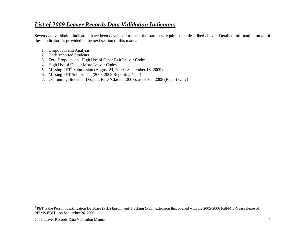# <span id="page-7-0"></span>*List of 2009 Leaver Records Data Validation Indicators*

Seven data validation indicators have been developed to meet the statutory requirements described above. Detailed information on all of these indicators is provided in the next section of this manual.

- 1. Dropout Trend Analysis
- 2. Underreported Students
- 3. Zero Dropouts and High Use of Other Exit Leaver Codes
- 4. High Use of One or More Leaver Codes
- 5. Missing PET<sup>[2](#page-7-0)</sup> Submission (August 24, 2009 September 18, 2009)
- 6. Missing PET Submission (2008-2009 Reporting Year)
- 7. Continuing Students' Dropout Rate (Class of 2007), as of Fall 2008 (Report Only)

 $^{2}$  PET is the Person Identification Database (PID) Enrollment Tracking (PET) extension that opened with the 2005-2006 Fall/Mid-Year release of PEIMS EDIT+ on September 26, 2005.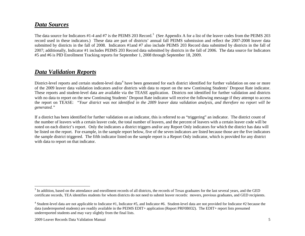# <span id="page-8-1"></span><span id="page-8-0"></span>*Data Sources*

The data source for Indicators #1-4 and #7 is the PEIMS 20[3](#page-8-0) Record.<sup>3</sup> (See Appendix A for a list of the leaver codes from the PEIMS 203 record used in these indicators.) These data are part of districts' annual fall PEIMS submission and reflect the 2007-2008 leaver data submitted by districts in the fall of 2008. Indicators #1and #7 also include PEIMS 203 Record data submitted by districts in the fall of 2007; additionally, Indicator #1 includes PEIMS 203 Record data submitted by districts in the fall of 2006. The data source for Indicators #5 and #6 is PID Enrollment Tracking reports for September 1, 2008 through September 18, 2009.

# *Data Validation Reports*

District-level reports and certain student-level data<sup>[4](#page-8-1)</sup> have been generated for each district identified for further validation on one or more of the 2009 leaver data validation indicators and/or districts with data to report on the new Continuing Students' Dropout Rate indicator. These reports and student-level data are available via the TEASE application. Districts not identified for further validation and districts with no data to report on the new Continuing Students' Dropout Rate indicator will receive the following message if they attempt to access the report on TEASE: *"Your district was not identified in the 2009 leaver data validation analysis, and therefore no report will be generated."*

If a district has been identified for further validation on an indicator, this is referred to as "triggering" an indicator. The district count of the number of leavers with a certain leaver code, the total number of leavers, and the percent of leavers with a certain leaver code will be noted on each district's report. Only the indicators a district triggers and/or any Report Only indicators for which the district has data will be listed on the report. For example, in the sample report below, five of the seven indicators are listed because those are the five indicators the sample district triggered. The fifth indicator listed on the sample report is a Report Only indicator, which is provided for any district with data to report on that indicator.

<sup>&</sup>lt;sup>3</sup> In addition, based on the attendance and enrollment records of all districts, the records of Texas graduates for the last several years, and the GED certificate records, TEA identifies students for whom districts do not need to submit leaver records: movers, previous graduates, and GED recipients.

<sup>4</sup> Student-level data are not applicable to Indicator #1, Indicator #5, and Indicator #6. Student-level data are not provided for Indicator #2 because the data (underreported students) are readily available in the PEIMS EDIT+ application (Report PRF0B032). The EDIT+ report lists presumed underreported students and may vary slightly from the final lists.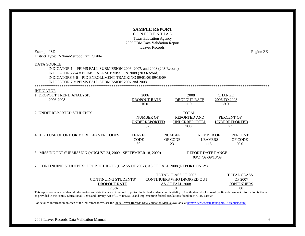#### **SAMPLE REPORT**

C O N F I D E N T I A L Texas Education Agency 2009 PBM Data Validation Report Leaver Records

Example ISD Region ZZ District Type: 7-Non-Metropolitan: Stable

#### DATA SOURCE:

INDICATOR 1 = PEIMS FALL SUBMISSION 2006, 2007, and 2008 (203 Record) INDICATORS 2-4 = PEIMS FALL SUBMISSION 2008 (203 Record) INDICATORS 5-6 = PID ENROLLMENT TRACKING 09/01/08-09/18/09 INDICATOR 7 = PEIMS FALL SUBMISSION 2007 and 2008 \*\*\*\*\*\*\*\*\*\*\*\*\*\*\*\*\*\*\*\*\*\*\*\*\*\*\*\*\*\*\*\*\*\*\*\*\*\*\*\*\*\*\*\*\*\*\*\*\*\*\*\*\*\*\*\*\*\*\*\*\*\*\*\*\*\*\*\*\*\*\*\*\*\*\*\*\*\*\*\*\*\*\*\*\*\*\*\*\*\*\*\*\*\*\*\*\*\*\*\*\*\*\*\*\*\*\*\*\*\*\*\*\*\*\*\*\*\*\*\*\*\*

#### INDICATOR

| 1. DROPOUT TREND ANALYSIS                                                           | 2006                | 2008                |                          | <b>CHANGE</b>  |
|-------------------------------------------------------------------------------------|---------------------|---------------------|--------------------------|----------------|
| 2006-2008                                                                           | <b>DROPOUT RATE</b> | <b>DROPOUT RATE</b> |                          | 2006 TO 2008   |
|                                                                                     | 10.0                | 1.0                 |                          | $-9.0$         |
| 2. UNDERREPORTED STUDENTS                                                           |                     | <b>TOTAL</b>        |                          |                |
|                                                                                     | NUMBER OF           | REPORTED AND        |                          | PERCENT OF     |
|                                                                                     | UNDERREPORTED       | UNDERREPORTED       |                          | UNDERREPORTED  |
|                                                                                     | 525                 | 7000                |                          | 7.5            |
|                                                                                     |                     |                     |                          |                |
| 4. HIGH USE OF ONE OR MORE LEAVER CODES                                             | <b>LEAVER</b>       | <b>NUMBER</b>       | <b>NUMBER OF</b>         | <b>PERCENT</b> |
|                                                                                     | <b>CODE</b>         | OF CODE             | <b>LEAVERS</b>           | OF CODE        |
|                                                                                     | 60                  | 23                  | 115                      | <b>20.0</b>    |
|                                                                                     |                     |                     |                          |                |
| 5. MISSING PET SUBMISSION (AUGUST 24, 2009 - SEPTEMBER 18, 2009)                    |                     |                     | <b>REPORT DATE RANGE</b> |                |
|                                                                                     |                     |                     | 08/24/09-09/18/09        |                |
| 7. CONTINUING STUDENTS' DROPOUT RATE (CLASS OF 2007), AS OF FALL 2008 (REPORT ONLY) |                     |                     |                          |                |
|                                                                                     |                     |                     |                          |                |

|                      | <b>TOTAL CLASS OF 2007</b> | <b>TOTAL CLASS</b> |
|----------------------|----------------------------|--------------------|
| CONTINUING STUDENTS' | CONTINUERS WHO DROPPED OUT | OF 2007            |
| DROPOUT RATE         | AS OF FALL 2008            | CONTINUERS         |
| 12.5%                |                            | 80                 |
|                      |                            |                    |

This report contains confidential information and data that are not masked to protect individual student confidentiality. Unauthorized disclosure of confidential student information is illegal as provided in the Family Educational Rights and Privacy Act of 1974 (FERPA) and implementing federal regulations found in 34 CFR, Part 99.

For detailed information on each of the indicators above, see the 2009 Leaver Records Data Validation Manual available a[t http://ritter.tea.state.tx.us/pbm/DIManuals.html](http://ritter.tea.state.tx.us/pbm/DIManuals.html) .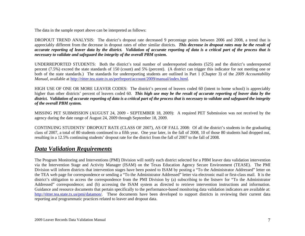The data in the sample report above can be interpreted as follows:

DROPOUT TREND ANALYSIS: The district's dropout rate decreased 9 percentage points between 2006 and 2008, a trend that is appreciably different from the decrease in dropout rates of other similar districts. *This decrease in dropout rates may be the result of accurate reporting of leaver data by the district. Validation of accurate reporting of data is a critical part of the process that is necessary to validate and safeguard the integrity of the overall PBM system.*

UNDERREPORTED STUDENTS: Both the district's total number of underreported students (525) and the district's underreported percent (7.5%) exceed the state standards of 150 (count) and 5% (percent). (A district can trigger this indicator for not meeting one or both of the state standards.) The standards for underreporting students are outlined in Part 1 (Chapter 3) of the *2009 Accountability Manual*, available at [http://ritter.tea.state.tx.us/perfreport/account/2009/manual/index.html.](http://ritter.tea.state.tx.us/perfreport/account/2009/manual/index.html)

HIGH USE OF ONE OR MORE LEAVER CODES: The district's percent of leavers coded 60 (intent to home school) is appreciably higher than other districts' percent of leavers coded 60. *This high use may be the result of accurate reporting of leaver data by the district. Validation of accurate reporting of data is a critical part of the process that is necessary to validate and safeguard the integrity of the overall PBM system.*

MISSING PET SUBMISSION (AUGUST 24, 2009 - SEPTEMBER 18, 2009): A required PET Submission was not received by the agency during the date range of August 24, 2009 through September 18, 2009.

CONTINUING STUDENTS' DROPOUT RATE (CLASS OF 2007), AS OF FALL 2008: Of all the district's students in the graduating class of 2007, a total of 80 students continued to a fifth year. One year later, in the fall of 2008, 10 of those 80 students had dropped out, resulting in a 12.5% continuing students' dropout rate for the district from the fall of 2007 to the fall of 2008.

## *Data Validation Requirements*

The Program Monitoring and Interventions (PMI) Division will notify each district selected for a PBM leaver data validation intervention via the Intervention Stage and Activity Manager (ISAM) on the Texas Education Agency Secure Environment (TEASE). The PMI Division will inform districts that intervention stages have been posted to ISAM by posting a "To the Administrator Addressed" letter on the TEA web page for correspondence or sending a "To the Administrator Addressed" letter via electronic mail or first-class mail. It is the district's obligation to access the correspondence from the PMI Division by (a) subscribing to the listserv for "To the Administrator Addressed" correspondence; and (b) accessing the ISAM system as directed to retrieve intervention instructions and information. Guidance and resource documents that pertain specifically to the performance-based monitoring data validation indicators are available at: [http://ritter.tea.state.tx.us/pmi/datamon/.](http://ritter.tea.state.tx.us/pmi/datamon/) These documents have been developed to support districts in reviewing their current data reporting and programmatic practices related to leaver and dropout data.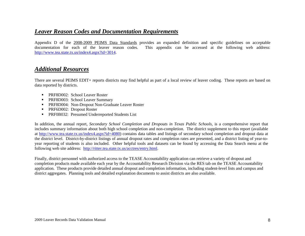## *Leaver Reason Codes and Documentation Requirements*

Appendix D of the 2008-2009 PEIMS Data Standards provides an expanded definition and specific guidelines on acceptable documentation for each of the leaver reason codes. This appendix can be accessed at the following web a This appendix can be accessed at the following web address: [http://www.tea.state.tx.us/index4.aspx?id=3014.](http://www.tea.state.tx.us/index4.aspx?id=3014)

## *Additional Resources*

There are several PEIMS EDIT+ reports districts may find helpful as part of a local review of leaver coding. These reports are based on data reported by districts.

- **PRF8D002: School Leaver Roster**
- **PRF8D003: School Leaver Summary**
- **PRF8D004: Non-Dropout Non-Graduate Leaver Roster**
- **PRF6D002: Dropout Roster**
- **PRF0B032: Presumed Underreported Students List**

In addition, the annual report, *Secondary School Completion and Dropouts in Texas Public Schools,* is a comprehensive report that includes summary information about both high school completion and non-completion. The district supplement to this report (available at [http://www.tea.state.tx.us/index4.aspx?id=4080\)](http://www.tea.state.tx.us/index4.aspx?id=4080) contains data tables and listings of secondary school completion and dropout data at the district level. District-by-district listings of annual dropout rates and completion rates are presented, and a district listing of year-toyear reporting of students is also included. Other helpful tools and datasets can be found by accessing the Data Search menu at the following web site address: [http://ritter.tea.state.tx.us/acctres/entry.html.](http://ritter.tea.state.tx.us/acctres/entry.html)

Finally, district personnel with authorized access to the TEASE Accountability application can retrieve a variety of dropout and completion products made available each year by the Accountability Research Division via the RES tab on the TEASE Accountability application. These products provide detailed annual dropout and completion information, including student-level lists and campus and district aggregates. Planning tools and detailed explanation documents to assist districts are also available.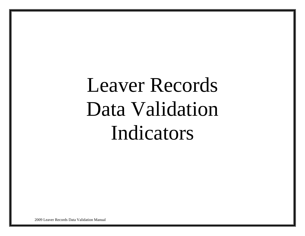# Leaver Records Data Validation Indicators

2009 Leaver Records Data Validation Manual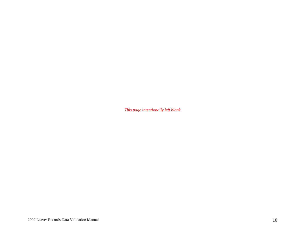*This page intentionally left blank*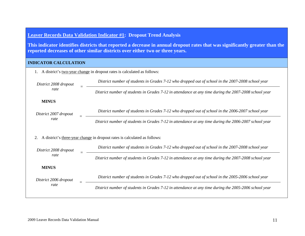## **Leaver Records Data Validation Indicator #1: Dropout Trend Analysis**

**This indicator identifies districts that reported a decrease in annual dropout rates that was significantly greater than the reported decreases of other similar districts over either two or three years.**

## **INDICATOR CALCULATION**

| A district's <u>two-year change</u> in dropout rates is calculated as follows: |                                                                                                                                                                                |  |  |  |
|--------------------------------------------------------------------------------|--------------------------------------------------------------------------------------------------------------------------------------------------------------------------------|--|--|--|
| District 2008 dropout<br>rate                                                  | District number of students in Grades 7-12 who dropped out of school in the 2007-2008 school year                                                                              |  |  |  |
|                                                                                | District number of students in Grades 7-12 in attendance at any time during the 2007-2008 school year                                                                          |  |  |  |
| <b>MINUS</b>                                                                   |                                                                                                                                                                                |  |  |  |
| District 2007 dropout                                                          | District number of students in Grades 7-12 who dropped out of school in the 2006-2007 school year                                                                              |  |  |  |
| rate                                                                           | District number of students in Grades 7-12 in attendance at any time during the 2006-2007 school year                                                                          |  |  |  |
|                                                                                | A district's three-year change in dropout rates is calculated as follows:<br>District number of students in Grades 7-12 who dropped out of school in the 2007-2008 school year |  |  |  |
| District 2008 dropout<br>rate                                                  | District number of students in Grades 7-12 in attendance at any time during the 2007-2008 school year                                                                          |  |  |  |
| <b>MINUS</b>                                                                   |                                                                                                                                                                                |  |  |  |
| District 2006 dropout<br>rate                                                  | District number of students in Grades 7-12 who dropped out of school in the 2005-2006 school year                                                                              |  |  |  |
|                                                                                | District number of students in Grades 7-12 in attendance at any time during the 2005-2006 school year                                                                          |  |  |  |
|                                                                                |                                                                                                                                                                                |  |  |  |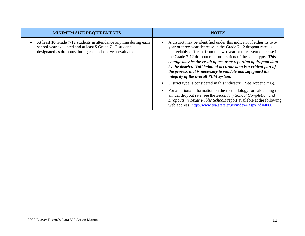| <b>MINIMUM SIZE REQUIREMENTS</b>                                                                                                                                                           | <b>NOTES</b>                                                                                                                                                                                                                                                                                                                                                                                                                                                                                                                   |
|--------------------------------------------------------------------------------------------------------------------------------------------------------------------------------------------|--------------------------------------------------------------------------------------------------------------------------------------------------------------------------------------------------------------------------------------------------------------------------------------------------------------------------------------------------------------------------------------------------------------------------------------------------------------------------------------------------------------------------------|
| At least 10 Grade 7-12 students in attendance anytime during each<br>school year evaluated and at least 5 Grade 7-12 students<br>designated as dropouts during each school year evaluated. | A district may be identified under this indicator if either its two-<br>year or three-year decrease in the Grade 7-12 dropout rates is<br>appreciably different from the two-year or three-year decrease in<br>the Grade 7-12 dropout rate for districts of the same type. This<br>change may be the result of accurate reporting of dropout data<br>by the district. Validation of accurate data is a critical part of<br>the process that is necessary to validate and safeguard the<br>integrity of the overall PBM system. |
|                                                                                                                                                                                            | District type is considered in this indicator. (See Appendix B).                                                                                                                                                                                                                                                                                                                                                                                                                                                               |
|                                                                                                                                                                                            | For additional information on the methodology for calculating the<br>annual dropout rate, see the Secondary School Completion and<br>Dropouts in Texas Public Schools report available at the following<br>web address: http://www.tea.state.tx.us/index4.aspx?id=4080.                                                                                                                                                                                                                                                        |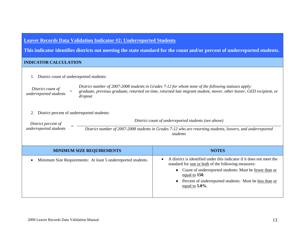## **Leaver Records Data Validation Indicator #2: Underreported Students**

**This indicator identifies districts not meeting the state standard for the count and/or percent of underreported students.**

#### **INDICATOR CALCULATION**

1. District count of underreported students:

*District count of underreported students* <sup>=</sup> *District number of 2007-2008 students in Grades 7-12 for whom none of the following statuses apply: graduate, previous graduate, returned on time, returned late migrant student, mover, other leaver, GED recipient, or dropout*

2. District percent of underreported students:

| District percent of<br>underreported students | District count of underreported students (see above)                                                        |
|-----------------------------------------------|-------------------------------------------------------------------------------------------------------------|
|                                               | District number of 2007-2008 students in Grades 7-12 who are returning students, leavers, and underreported |
|                                               | students                                                                                                    |

| <b>MINIMUM SIZE REQUIREMENTS</b>                                           | <b>NOTES</b>                                                                                                                                                                                                                                                                                    |
|----------------------------------------------------------------------------|-------------------------------------------------------------------------------------------------------------------------------------------------------------------------------------------------------------------------------------------------------------------------------------------------|
| Minimum Size Requirements: At least 5 underreported students.<br>$\bullet$ | A district is identified under this indicator if it does not meet the<br>standard for <u>one or both</u> of the following measures:<br>Count of underreported students: Must be fewer than or<br>equal to 150.<br>Percent of underreported students: Must be less than or<br>equal to $5.0\%$ . |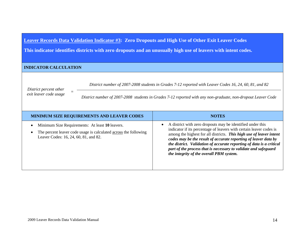**Leaver Records Data Validation Indicator #3: Zero Dropouts and High Use of Other Exit Leaver Codes**

**This indicator identifies districts with zero dropouts and an unusually high use of leavers with intent codes.**

#### **INDICATOR CALCULATION**

*District number of 2007-2008 students in Grades 7-12 reported with Leaver Codes 16, 24, 60, 81, and 82*

*District percent other exit leaver code usage* <sup>=</sup>

*District number of 2007-2008 students in Grades 7-12 reported with any non-graduate, non-dropout Leaver Code*

| MINIMUM SIZE REQUIREMENTS AND LEAVER CODES                                                                                                                                | <b>NOTES</b>                                                                                                                                                                                                                                                                                                                                                                                                                                                       |
|---------------------------------------------------------------------------------------------------------------------------------------------------------------------------|--------------------------------------------------------------------------------------------------------------------------------------------------------------------------------------------------------------------------------------------------------------------------------------------------------------------------------------------------------------------------------------------------------------------------------------------------------------------|
| Minimum Size Requirements: At least 10 leavers.<br>$\bullet$<br>The percent leaver code usage is calculated across the following<br>Leaver Codes: 16, 24, 60, 81, and 82. | A district with zero dropouts may be identified under this<br>indicator if its percentage of leavers with certain leaver codes is<br>among the highest for all districts. This high use of leaver intent<br>codes may be the result of accurate reporting of leaver data by<br>the district. Validation of accurate reporting of data is a critical<br>part of the process that is necessary to validate and safeguard<br>the integrity of the overall PBM system. |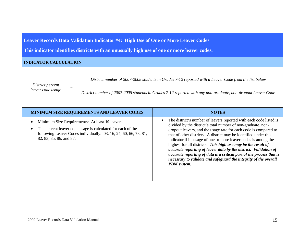**Leaver Records Data Validation Indicator #4: High Use of One or More Leaver Codes**

**This indicator identifies districts with an unusually high use of one or more leaver codes.**

### **INDICATOR CALCULATION**

*District number of 2007-2008 students in Grades 7-12 reported with a Leaver Code from the list below*

*District percent leaver code usage* <sup>=</sup>

*District number of 2007-2008 students in Grades 7-12 reported with any non-graduate, non-dropout Leaver Code*

| MINIMUM SIZE REQUIREMENTS AND LEAVER CODES                                                                                                                                                                    | <b>NOTES</b>                                                                                                                                                                                                                                                                                                                                                                                                                                                                                                                                                                                                                                         |
|---------------------------------------------------------------------------------------------------------------------------------------------------------------------------------------------------------------|------------------------------------------------------------------------------------------------------------------------------------------------------------------------------------------------------------------------------------------------------------------------------------------------------------------------------------------------------------------------------------------------------------------------------------------------------------------------------------------------------------------------------------------------------------------------------------------------------------------------------------------------------|
| Minimum Size Requirements: At least 10 leavers.<br>The percent leaver code usage is calculated for each of the<br>following Leaver Codes individually: 03, 16, 24, 60, 66, 78, 81,<br>82, 83, 85, 86, and 87. | The district's number of leavers reported with each code listed is<br>divided by the district's total number of non-graduate, non-<br>dropout leavers, and the usage rate for each code is compared to<br>that of other districts. A district may be identified under this<br>indicator if its usage of one or more leaver codes is among the<br>highest for all districts. This high use may be the result of<br>accurate reporting of leaver data by the district. Validation of<br>accurate reporting of data is a critical part of the process that is<br>necessary to validate and safeguard the integrity of the overall<br><b>PBM</b> system. |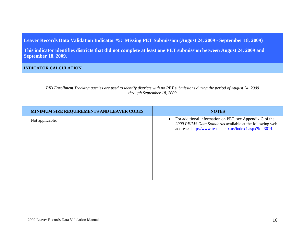**Leaver Records Data Validation Indicator #5: Missing PET Submission (August 24, 2009 - September 18, 2009)** 

**This indicator identifies districts that did not complete at least one PET submission between August 24, 2009 and September 18, 2009.** 

### **INDICATOR CALCULATION**

*PID Enrollment Tracking queries are used to identify districts with no PET submissions during the period of August 24, 2009 through September 18, 2009.*

| MINIMUM SIZE REQUIREMENTS AND LEAVER CODES | <b>NOTES</b>                                                                                                                                                                     |
|--------------------------------------------|----------------------------------------------------------------------------------------------------------------------------------------------------------------------------------|
| Not applicable.                            | For additional information on PET, see Appendix G of the<br>2009 PEIMS Data Standards available at the following web<br>address: http://www.tea.state.tx.us/index4.aspx?id=3014. |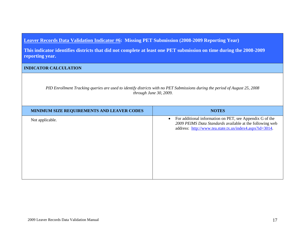**Leaver Records Data Validation Indicator #6: Missing PET Submission (2008-2009 Reporting Year)**

**This indicator identifies districts that did not complete at least one PET submission on time during the 2008-2009 reporting year.**

### **INDICATOR CALCULATION**

*PID Enrollment Tracking queries are used to identify districts with no PET Submissions during the period of August 25, 2008 through June 30, 2009.*

| MINIMUM SIZE REQUIREMENTS AND LEAVER CODES | <b>NOTES</b>                                                                                                                                                                     |
|--------------------------------------------|----------------------------------------------------------------------------------------------------------------------------------------------------------------------------------|
| Not applicable.                            | For additional information on PET, see Appendix G of the<br>2009 PEIMS Data Standards available at the following web<br>address: http://www.tea.state.tx.us/index4.aspx?id=3014. |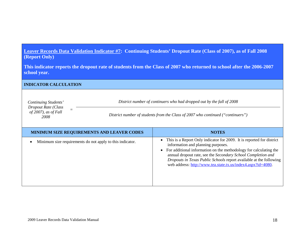**Leaver Records Data Validation Indicator #7: Continuing Students' Dropout Rate (Class of 2007), as of Fall 2008 (Report Only)**

**This indicator reports the dropout rate of students from the Class of 2007 who returned to school after the 2006-2007 school year.**

#### **INDICATOR CALCULATION**

*Continuing Students' Dropout Rate (Class of 2007), as of Fall 2008* = *District number of continuers who had dropped out by the fall of 2008 District number of students from the Class of 2007 who continued ("continuers")*

| MINIMUM SIZE REQUIREMENTS AND LEAVER CODES                | <b>NOTES</b>                                                                                                                                                                                                                                                                                                                                                                           |
|-----------------------------------------------------------|----------------------------------------------------------------------------------------------------------------------------------------------------------------------------------------------------------------------------------------------------------------------------------------------------------------------------------------------------------------------------------------|
| Minimum size requirements do not apply to this indicator. | This is a Report Only indicator for 2009. It is reported for district<br>information and planning purposes.<br>For additional information on the methodology for calculating the<br>annual dropout rate, see the Secondary School Completion and<br>Dropouts in Texas Public Schools report available at the following<br>web address: http://www.tea.state.tx.us/index4.aspx?id=4080. |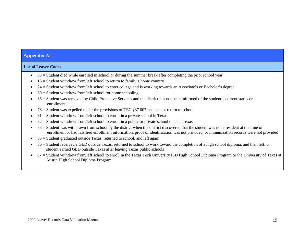## **Appendix A:**

#### **List of Leaver Codes**

- $\bullet$  03 = Student died while enrolled in school or during the summer break after completing the prior school year
- $16 =$  Student withdrew from/left school to return to family's home country
- 24 = Student withdrew from/left school to enter college and is working towards an Associate's or Bachelor's degree
- $\bullet$  60 = Student withdrew from/left school for home schooling
- 66 = Student was removed by Child Protective Services and the district has not been informed of the student's current status or enrollment
- $78 =$  Student was expelled under the provisions of TEC §37.007 and cannot return to school
- $\bullet$  81 = Student withdrew from/left school to enroll in a private school in Texas
- 82 = Student withdrew from left school to enroll in a public or private school outside Texas
- $\bullet$  83 = Student was withdrawn from school by the district when the district discovered that the student was not a resident at the time of enrollment or had falsified enrollment information, proof of identification was not provided, or immunization records were not provided
- $85 =$  Student graduated outside Texas, returned to school, and left again
- 86 = Student received a GED outside Texas, returned to school to work toward the completion of a high school diploma, and then left; or student earned GED outside Texas after leaving Texas public schools
- 87 = Student withdrew from/left school to enroll in the Texas Tech University ISD High School Diploma Program or the University of Texas at Austin High School Diploma Program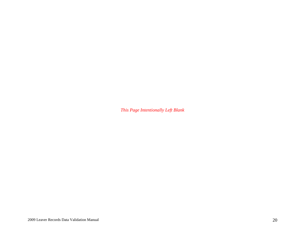*This Page Intentionally Left Blank*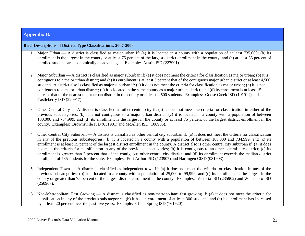## **Appendix B:**

#### **Brief Descriptions of District Type Classifications, 2007-2008**

- 1. Major Urban A district is classified as major urban if: (a) it is located in a county with a population of at least 735,000; (b) its enrollment is the largest in the county or at least 75 percent of the largest district enrollment in the county; and (c) at least 35 percent of enrolled students are economically disadvantaged. Example: Austin ISD (227901).
- 2. Major Suburban A district is classified as major suburban if: (a) it does not meet the criteria for classification as major urban; (b) it is contiguous to a major urban district; and (c) its enrollment is at least 3 percent that of the contiguous major urban district or at least 4,500 students. A district also is classified as major suburban if: (a) it does not meet the criteria for classification as major urban; (b) it is not contiguous to a major urban district; (c) it is located in the same county as a major urban district; and (d) its enrollment is at least 15 percent that of the nearest major urban district in the county or at least 4,500 students. Examples: Goose Creek ISD (101911) and Castleberry ISD (220917).
- 3. Other Central City  $A$  district is classified as other central city if: (a) it does not meet the criteria for classification in either of the previous subcategories; (b) it is not contiguous to a major urban district; (c) it is located in a county with a population of between 100,000 and 734,999; and (d) its enrollment is the largest in the county or at least 75 percent of the largest district enrollment in the county. Examples: Brownsville ISD (031901) and McAllen ISD (108906).
- 4. Other Central City Suburban A district is classified as other central city suburban if: (a) it does not meet the criteria for classification in any of the previous subcategories; (b) it is located in a county with a population of between 100,000 and 734,999; and (c) its enrollment is at least 15 percent of the largest district enrollment in the county. A district also is other central city suburban if: (a) it does not meet the criteria for classification in any of the previous subcategories; (b) it is contiguous to an other central city district; (c) its enrollment is greater than 3 percent that of the contiguous other central city district; and (d) its enrollment exceeds the median district enrollment of 735 students for the state. Examples: Port Arthur ISD (123907) and Harlingen CISD (031903).
- 5. Independent Town A district is classified as independent town if: (a) it does not meet the criteria for classification in any of the previous subcategories; (b) it is located in a county with a population of 25,000 to 99,999; and (c) its enrollment is the largest in the county or greater than 75 percent of the largest district enrollment in the county. Examples: Victoria ISD (235902) and Winnsboro ISD (250907).
- 6. Non-Metropolitan: Fast Growing A district is classified as non-metropolitan: fast growing if: (a) it does not meet the criteria for classification in any of the previous subcategories; (b) it has an enrollment of at least 300 students; and (c) its enrollment has increased by at least 20 percent over the past five years. Example: China Spring ISD (161920).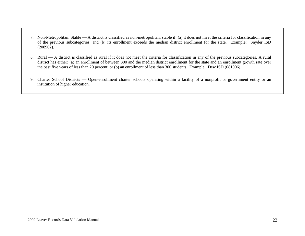- 7. Non-Metropolitan: Stable A district is classified as non-metropolitan: stable if: (a) it does not meet the criteria for classification in any of the previous subcategories; and (b) its enrollment exceeds the median district enrollment for the state. Example: Snyder ISD (208902).
- 8. Rural A district is classified as rural if it does not meet the criteria for classification in any of the previous subcategories. A rural district has either: (a) an enrollment of between 300 and the median district enrollment for the state and an enrollment growth rate over the past five years of less than 20 percent; or (b) an enrollment of less than 300 students. Example: Dew ISD (081906).
- 9. Charter School Districts Open-enrollment charter schools operating within a facility of a nonprofit or government entity or an institution of higher education.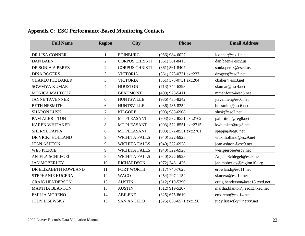| <b>Full Name</b>       | <b>Region</b>  | <b>City</b>           | <b>Phone</b>             | <b>Email Address</b>           |
|------------------------|----------------|-----------------------|--------------------------|--------------------------------|
| DR LISA CONNER         | $\mathbf{1}$   | <b>EDINBURG</b>       | $(956)$ 984-6027         | lconner@esc1.net               |
| <b>DAN BAEN</b>        | $\overline{2}$ | <b>CORPUS CHRISTI</b> | $(361) 561 - 8415$       | dan.baen@esc2.us               |
| DR SONIA A PEREZ       | $\overline{2}$ | <b>CORPUS CHRISTI</b> | $(361) 561 - 8407$       | sonia.perez@esc2.us            |
| <b>DINA ROGERS</b>     | 3              | <b>VICTORIA</b>       | (361) 573-0731 ext:237   | drogers@esc3.net               |
| <b>CHARLOTTE BAKER</b> | 3              | <b>VICTORIA</b>       | (361) 573-0731 ext:204   | cbaker@esc3.net                |
| <b>SOWMYA KUMAR</b>    | $\overline{4}$ | <b>HOUSTON</b>        | $(713) 744 - 6393$       | skumar@esc4.net                |
| <b>MONICA MAHFOUZ</b>  | 5              | <b>BEAUMONT</b>       | $(409)$ 923-5411         | mmahfouz@esc5.net              |
| <b>JAYNE TAVENNER</b>  | 6              | <b>HUNTSVILLE</b>     | $(936)$ 435-8242         | jtavenner@esc6.net             |
| <b>BETH NESMITH</b>    | 6              | <b>HUNTSVILLE</b>     | $(936)$ 435-8252         | bnesmith@esc6.net              |
| <b>SHARON LUSK</b>     | $\overline{7}$ | <b>KILGORE</b>        | $(903)$ 988-6908         | slusk@esc7.net                 |
| PAM ALBRITTON          | $8\,$          | <b>MT PLEASANT</b>    | (903) 572-8551 ext:2762  | palbritton@reg8.net            |
| <b>KAREN WHITAKER</b>  | 8              | <b>MT PLEASANT</b>    | (903) 572-8551 ext:2715  | kwhitaker@reg8.net             |
| SHERYL PAPPA           | $\,8\,$        | MT PLEASANT           | (903) 572-8551 ext:2781  | spappa@reg8.net                |
| DR VICKI HOLLAND       | 9              | <b>WICHITA FALLS</b>  | $(940)$ 322-6928         | vicki.holland@esc9.net         |
| <b>JEAN ASHTON</b>     | 9              | <b>WICHITA FALLS</b>  | $(940)$ 322-6928         | jean.ashton@esc9.net           |
| <b>WES PIERCE</b>      | 9              | <b>WICHITA FALLS</b>  | $(940)$ 322-6928         | wes.pierce@esc9.net            |
| <b>ANJELA SCHLEGEL</b> | 9              | <b>WICHITA FALLS</b>  | $(940)$ 322-6928         | Anjela.Schlegel@esc9.net       |
| <b>JAN MOBERLEY</b>    | 10             | <b>RICHARDSON</b>     | $(972)$ 348-1426         | jan.moberley@region10.org      |
| DR ELIZABETH ROWLAND   | 11             | <b>FORT WORTH</b>     | $(817) 740 - 7625$       | erowland@esc11.net             |
| STEPHANIE KUCERA       | 12             | <b>WACO</b>           | $(254) 297 - 1154$       | skucera@esc12.net              |
| <b>CRAIG HENDERSON</b> | 13             | <b>AUSTIN</b>         | $(512)$ 919-5390         | craig.henderson@esc13.txed.net |
| <b>MARTHA BLANTON</b>  | 13             | <b>AUSTIN</b>         | $(512)$ 919-5207         | martha.blanton@esc13.txed.net  |
| <b>EMILIA MORENO</b>   | 14             | <b>ABILENE</b>        | $(325)$ 675-8610         | emoreno@esc14.net              |
| <b>JUDY LISEWSKY</b>   | 15             | <b>SAN ANGELO</b>     | $(325)$ 658-6571 ext:158 | judy.lisewsky@netxv.net        |

# **Appendix C: ESC Performance-Based Monitoring Contacts**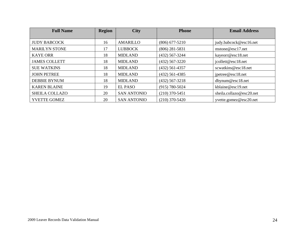| <b>Full Name</b>      | <b>Region</b> | <b>City</b>        | <b>Phone</b>       | <b>Email Address</b>     |
|-----------------------|---------------|--------------------|--------------------|--------------------------|
|                       |               |                    |                    |                          |
| <b>JUDY BABCOCK</b>   | 16            | <b>AMARILLO</b>    | $(806)$ 677-5210   | judy.babcock@esc16.net   |
| <b>MARILYN STONE</b>  | 17            | <b>LUBBOCK</b>     | $(806)$ 281-5831   | mstone@esc17.net         |
| <b>KAYE ORR</b>       | 18            | <b>MIDLAND</b>     | $(432)$ 567-3244   | kayeorr@esc18.net        |
| <b>JAMES COLLETT</b>  | 18            | <b>MIDLAND</b>     | $(432)$ 567-3220   | jcollett@esc18.net       |
| <b>SUE WATKINS</b>    | 18            | <b>MIDLAND</b>     | $(432)$ 561-4357   | scwatkins@esc18.net      |
| <b>JOHN PETREE</b>    | 18            | <b>MIDLAND</b>     | $(432)$ 561-4385   | jpetree@esc18.net        |
| <b>DEBBIE BYNUM</b>   | 18            | <b>MIDLAND</b>     | $(432)$ 567-3218   | dbynum@esc18.net         |
| <b>KAREN BLAINE</b>   | 19            | <b>EL PASO</b>     | $(915) 780 - 5024$ | kblaine@esc19.net        |
| <b>SHEILA COLLAZO</b> | 20            | <b>SAN ANTONIO</b> | $(210)$ 370-5451   | sheila.collazo@esc20.net |
| YVETTE GOMEZ          | 20            | <b>SAN ANTONIO</b> | $(210)$ 370-5420   | yvette.gomez@esc20.net   |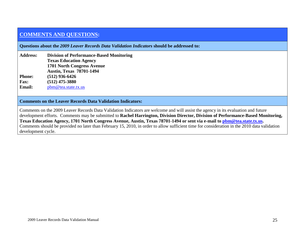## **COMMENTS AND QUESTIONS:**

**Questions about the** *2009 Leaver Records Data Validation Indicators* **should be addressed to:**

**Address: Division of Performance-Based Monitoring Texas Education Agency 1701 North Congress Avenue Austin, Texas 78701-1494 Phone: (512) 936-6426 Fax: (512) 475-3880 Email:** [pbm@tea.state.tx.us](mailto:pbm@tea.state.tx.us)

#### **Comments on the Leaver Records Data Validation Indicators:**

Comments on the 2009 Leaver Records Data Validation Indicators are welcome and will assist the agency in its evaluation and future development efforts. Comments may be submitted to **Rachel Harrington, Division Director, Division of Performance-Based Monitoring, Texas Education Agency, 1701 North Congress Avenue, Austin, Texas 78701-1494 or sent via e-mail to [pbm@tea.state.tx.us.](mailto:pbm@tea.state.tx.us)**  Comments should be provided no later than February 15, 2010, in order to allow sufficient time for consideration in the 2010 data validation development cycle.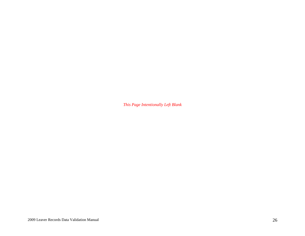*This Page Intentionally Left Blank*